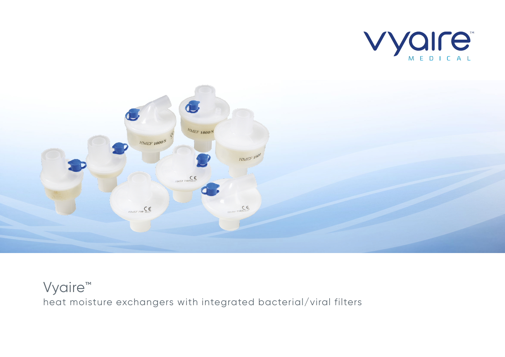



## Vyaire<sup>™</sup> heat moisture exchangers with integrated bacterial/viral filters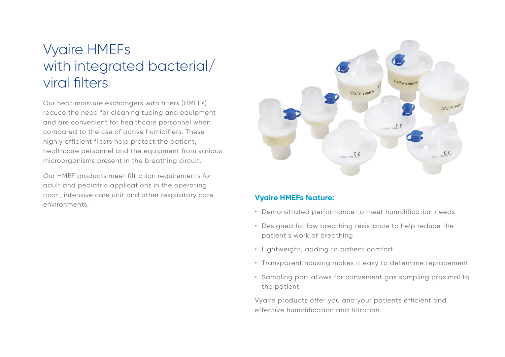# Vyaire HMEFs with integrated bacterial/ viral filters

Our heat moisture exchangers with filters (HMEFs) reduce the need for cleaning tubing and equipment and are convenient for healthcare personnel when compared to the use of active humidifiers. These highly efficient filters help protect the patient, healthcare personnel and the equipment from various microorganisms present in the breathing circuit.

Our HMEF products meet filtration requirements for adult and pediatric applications in the operating room, intensive care unit and other respiratory care environments.



### **Vyaire HMEFs feature:**

- Demonstrated performance to meet humidification needs
- Designed for low breathing resistance to help reduce the patient's work of breathing
- Lightweight, adding to patient comfort
- Transparent housing makes it easy to determine replacement
- Sampling port allows for convenient gas sampling proximal to the patient

Vyaire products offer you and your patients efficient and effective humidification and filtration.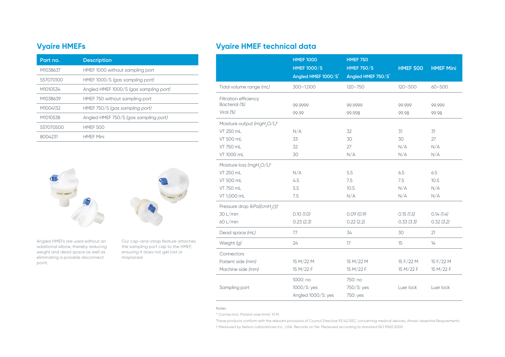| Part no.  | <b>Description</b>                     |
|-----------|----------------------------------------|
| M1038637  | HMEF 1000 without sampling port        |
| 557070100 | HMEF 1000/S (gas sampling port)        |
| M1010534  | Angled HMEF 1000/S (gas sampling port) |
| M1038639  | HMEF 750 without sampling port         |
| M1004132  | HMEF 750/S (gas sampling port)         |
| M1010538  | Angled HMEF 750/S (gas sampling port)  |
| 557070500 | <b>HMEF 500</b>                        |
| 8004231   | <b>HMFF Mini</b>                       |



Angled HMEFs are used without an additional elbow, thereby reducing weight and dead space as well as eliminating a possible disconnect point.

Our cap-and-strap feature attaches the sampling port cap to the HMEF, ensuring it does not get lost or misplaced.

## **Vyaire HMEFs Vyaire HMEF technical data**

|                                                                                                                 | <b>HMEF 1000</b><br><b>HMEF 1000/S</b><br>Angled HMEF 1000/S'           | <b>HMEF 750</b><br><b>HMEF 750/S</b><br>Angled HMEF 750/S   | <b>HMEF 500</b>                     | <b>HMEF Mini</b>                    |
|-----------------------------------------------------------------------------------------------------------------|-------------------------------------------------------------------------|-------------------------------------------------------------|-------------------------------------|-------------------------------------|
| Tidal volume range (mL)                                                                                         | $300 - 1,000$                                                           | $120 - 750$                                                 | $120 - 500$                         | $60 - 500$                          |
| Filtration efficiency<br>Bacterial (%)<br>Viral (%)                                                             | 99.9999<br>99.99                                                        | 99.9999<br>99.998                                           | 99.999<br>99.98                     | 99.999<br>99.98                     |
| Moisture output (mgH <sub>2</sub> O/L) <sup>t</sup><br>VT 250 mL<br><b>VT 500 mL</b><br>VT 750 mL<br>VT 1000 mL | N/A<br>33<br>32<br>30                                                   | 32<br>30<br>27<br>N/A                                       | 31<br>30<br>N/A<br>N/A              | 31<br>27<br>N/A<br>N/A              |
| Moisture loss (mgH <sub>2</sub> O/L) <sup>t</sup><br>VT 250 mL<br>VT 500 mL<br>VT 750 mL<br>VT 1,000 mL         | N/A<br>4.5<br>5.5<br>7.5                                                | 5.5<br>7.5<br>10.5<br>N/A                                   | 6.5<br>7.5<br>N/A<br>N/A            | 6.5<br>10.5<br>N/A<br>N/A           |
| Pressure drop (kPa)(cmH <sub>2</sub> O) <sup>t</sup><br>30 L/min<br>60 L/min<br>Dead space (mL)                 | 0.10(1.0)<br>0.23(2.3)<br>77                                            | 0.09(0.9)<br>0.22(2.2)<br>34                                | 0.15(1.5)<br>0.33(3.3)<br>30        | 0.14(1.4)<br>0.32(3.2)<br>21        |
| Weight (g)                                                                                                      | 24                                                                      | 17                                                          | 15                                  | 14                                  |
| Connectors<br>Patient side (mm)<br>Machine side (mm)<br>Sampling port                                           | 15 M/22 M<br>15 M/22 F<br>1000: no<br>1000/S: yes<br>Angled 1000/S: yes | 15 M/22 M<br>15 M/22 F<br>750: no<br>750/S: yes<br>750: yes | 15 F/22 M<br>15 M/22 F<br>Luer lock | 15 F/22 M<br>15 M/22 F<br>Luer lock |

#### Notes

\* Connectors: Patient side (mm): 15 M.

These products conform with the relevant provisions of Council Directive 93/42/EEC, concerning medical devices, Annex I essential Requirements.

† Measured by Nelson Laboratories Inc., USA. Records on file. Measured according to standard ISO 9360:2000.